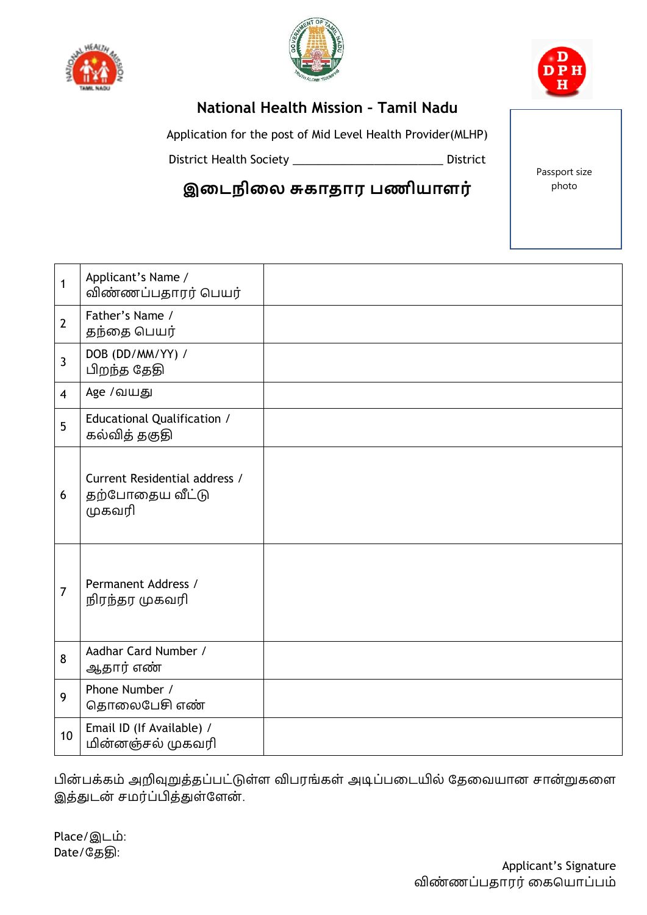





## **National Health Mission – Tamil Nadu**

Application for the post of Mid Level Health Provider(MLHP)

District Health Society \_\_\_\_\_\_\_\_\_\_\_\_\_\_\_\_\_\_\_\_\_\_\_\_ District

**இடைநிடை சுகாதார பணியாளர்**

Passport size photo

| $\mathbf{1}$   | Applicant's Name /<br>விண்ணப்பதாரர் பெயர்                  |  |
|----------------|------------------------------------------------------------|--|
| $\overline{2}$ | Father's Name /<br>தந்தை பெயர்                             |  |
| $\overline{3}$ | DOB (DD/MM/YY) /<br>பிறந்த தேதி                            |  |
| $\overline{4}$ | Age /வயது                                                  |  |
| 5              | Educational Qualification /<br>கல்வித் தகுதி               |  |
| 6              | Current Residential address /<br>தற்போதைய வீட்டு<br>முகவரி |  |
| $\overline{7}$ | Permanent Address /<br>நிரந்தர முகவரி                      |  |
| 8              | Aadhar Card Number /<br>ஆதார் எண்                          |  |
| 9              | Phone Number /<br>தொலைபேசி எண்                             |  |
| 10             | Email ID (If Available) /<br>மின்னஞ்சல் முகவரி             |  |
|                |                                                            |  |

பின் பக்கம் அறிவுறுத்தப்பட்டுள்ள விபரங்கள் அடிப்பதடயில் தததவயான சான்றுகதள இத்துடன் சமர்ப்பித்துள்ளேன்.

Place/இடம்: Date/தததி: